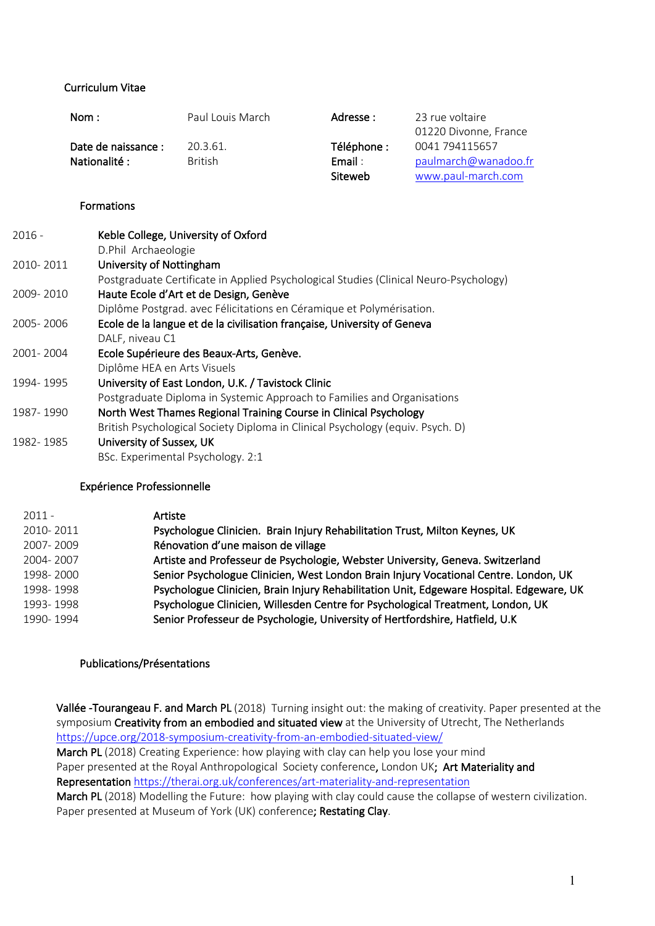## Curriculum Vitae

| Nom :               | Paul Louis March | Adresse :   | 23 rue voltaire       |
|---------------------|------------------|-------------|-----------------------|
|                     |                  |             | 01220 Divonne, France |
| Date de naissance : | 20.3.61.         | Téléphone : | 0041 794115657        |
| Nationalité :       | <b>British</b>   | Email:      | paulmarch@wanadoo.fr  |
|                     |                  | Siteweb     | www.paul-march.com    |

## Formations

| $2016 -$  | Keble College, University of Oxford                                                   |
|-----------|---------------------------------------------------------------------------------------|
|           | D.Phil Archaeologie                                                                   |
| 2010-2011 | University of Nottingham                                                              |
|           | Postgraduate Certificate in Applied Psychological Studies (Clinical Neuro-Psychology) |
| 2009-2010 | Haute Ecole d'Art et de Design, Genève                                                |
|           | Diplôme Postgrad. avec Félicitations en Céramique et Polymérisation.                  |
| 2005-2006 | Ecole de la langue et de la civilisation française, University of Geneva              |
|           | DALF, niveau C1                                                                       |
| 2001-2004 | Ecole Supérieure des Beaux-Arts, Genève.                                              |
|           | Diplôme HEA en Arts Visuels                                                           |
| 1994-1995 | University of East London, U.K. / Tavistock Clinic                                    |
|           | Postgraduate Diploma in Systemic Approach to Families and Organisations               |
| 1987-1990 | North West Thames Regional Training Course in Clinical Psychology                     |
|           | British Psychological Society Diploma in Clinical Psychology (equiv. Psych. D)        |
| 1982-1985 | University of Sussex, UK                                                              |
|           | BSc. Experimental Psychology. 2:1                                                     |
|           |                                                                                       |

### Expérience Professionnelle

| $2011 -$  | Artiste                                                                                  |
|-----------|------------------------------------------------------------------------------------------|
| 2010-2011 | Psychologue Clinicien. Brain Injury Rehabilitation Trust, Milton Keynes, UK              |
| 2007-2009 | Rénovation d'une maison de village                                                       |
| 2004-2007 | Artiste and Professeur de Psychologie, Webster University, Geneva. Switzerland           |
| 1998-2000 | Senior Psychologue Clinicien, West London Brain Injury Vocational Centre. London, UK     |
| 1998-1998 | Psychologue Clinicien, Brain Injury Rehabilitation Unit, Edgeware Hospital. Edgeware, UK |
| 1993-1998 | Psychologue Clinicien, Willesden Centre for Psychological Treatment, London, UK          |
| 1990-1994 | Senior Professeur de Psychologie, University of Hertfordshire, Hatfield, U.K.            |

### Publications/Présentations

Vallée -Tourangeau F. and March PL (2018) Turning insight out: the making of creativity. Paper presented at the symposium Creativity from an embodied and situated view at the University of Utrecht, The Netherlands https://upce.org/2018-symposium-creativity-from-an-embodied-situated-view/ March PL (2018) Creating Experience: how playing with clay can help you lose your mind Paper presented at the Royal Anthropological Society conference, London UK; Art Materiality and Representation https://therai.org.uk/conferences/art-materiality-and-representation March PL (2018) Modelling the Future: how playing with clay could cause the collapse of western civilization. Paper presented at Museum of York (UK) conference; Restating Clay.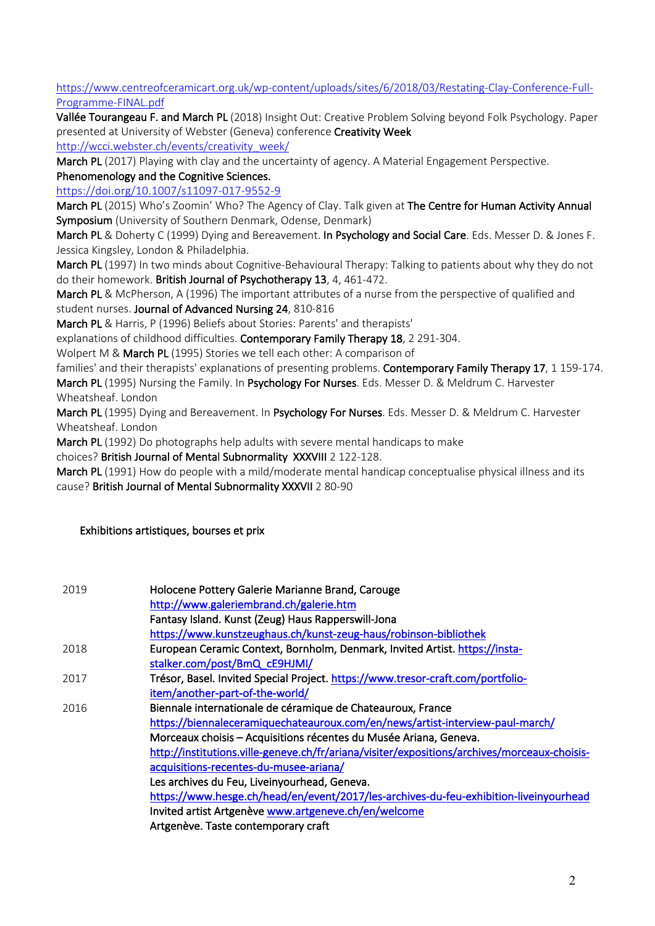## https://www.centreofceramicart.org.uk/wp-content/uploads/sites/6/2018/03/Restating-Clay-Conference-Full-Programme-FINAL.pdf

Vallée Tourangeau F. and March PL (2018) Insight Out: Creative Problem Solving beyond Folk Psychology. Paper presented at University of Webster (Geneva) conference Creativity Week

http://wcci.webster.ch/events/creativity\_week/

March PL (2017) Playing with clay and the uncertainty of agency. A Material Engagement Perspective.

# Phenomenology and the Cognitive Sciences.

https://doi.org/10.1007/s11097-017-9552-9

March PL (2015) Who's Zoomin' Who? The Agency of Clay. Talk given at The Centre for Human Activity Annual Symposium (University of Southern Denmark, Odense, Denmark)

March PL & Doherty C (1999) Dying and Bereavement. In Psychology and Social Care. Eds. Messer D. & Jones F. Jessica Kingsley, London & Philadelphia.

March PL (1997) In two minds about Cognitive-Behavioural Therapy: Talking to patients about why they do not do their homework. British Journal of Psychotherapy 13, 4, 461-472.

March PL & McPherson, A (1996) The important attributes of a nurse from the perspective of qualified and student nurses. Journal of Advanced Nursing 24, 810-816

March PL & Harris, P (1996) Beliefs about Stories: Parents' and therapists'

explanations of childhood difficulties. Contemporary Family Therapy 18, 2 291-304.

Wolpert M & March PL (1995) Stories we tell each other: A comparison of

families' and their therapists' explanations of presenting problems. Contemporary Family Therapy 17, 1 159-174. March PL (1995) Nursing the Family. In Psychology For Nurses. Eds. Messer D. & Meldrum C. Harvester Wheatsheaf. London

March PL (1995) Dying and Bereavement. In Psychology For Nurses. Eds. Messer D. & Meldrum C. Harvester Wheatsheaf. London

March PL (1992) Do photographs help adults with severe mental handicaps to make

choices? British Journal of Mental Subnormality XXXVIII 2 122-128.

March PL (1991) How do people with a mild/moderate mental handicap conceptualise physical illness and its cause? British Journal of Mental Subnormality XXXVII 2 80-90

# Exhibitions artistiques, bourses et prix

| 2019 | Holocene Pottery Galerie Marianne Brand, Carouge<br>http://www.galeriembrand.ch/galerie.htm  |
|------|----------------------------------------------------------------------------------------------|
|      | Fantasy Island. Kunst (Zeug) Haus Rapperswill-Jona                                           |
|      | https://www.kunstzeughaus.ch/kunst-zeug-haus/robinson-bibliothek                             |
| 2018 | European Ceramic Context, Bornholm, Denmark, Invited Artist. https://insta-                  |
|      | stalker.com/post/BmQ_cE9HJMI/                                                                |
| 2017 | Trésor, Basel. Invited Special Project. https://www.tresor-craft.com/portfolio-              |
|      | item/another-part-of-the-world/                                                              |
| 2016 | Biennale internationale de céramique de Chateauroux, France                                  |
|      | https://biennaleceramiquechateauroux.com/en/news/artist-interview-paul-march/                |
|      | Morceaux choisis - Acquisitions récentes du Musée Ariana, Geneva.                            |
|      | http://institutions.ville-geneve.ch/fr/ariana/visiter/expositions/archives/morceaux-choisis- |
|      | acquisitions-recentes-du-musee-ariana/                                                       |
|      | Les archives du Feu, Liveinyourhead, Geneva.                                                 |
|      | https://www.hesge.ch/head/en/event/2017/les-archives-du-feu-exhibition-liveinyourhead        |
|      | Invited artist Artgenève www.artgeneve.ch/en/welcome                                         |
|      | Artgenève. Taste contemporary craft                                                          |